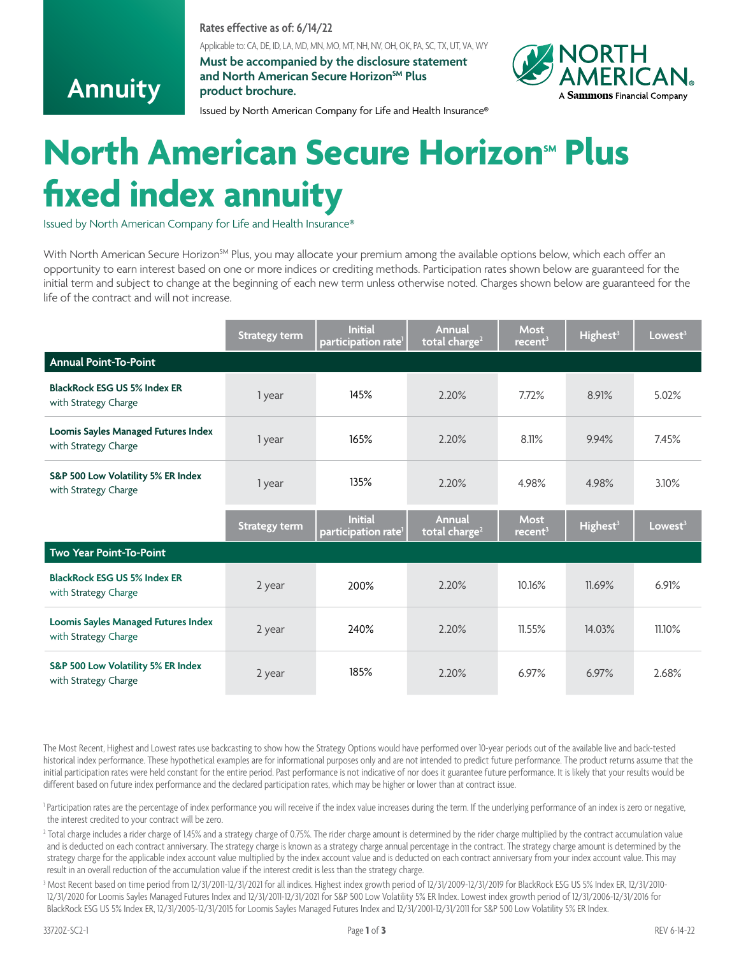**Rates effective as of: 6/14/22**

Applicable to: CA, DE, ID, LA, MD, MN, MO, MT, NH, NV, OH, OK, PA, SC, TX, UT, VA, WY

**Must be accompanied by the disclosure statement** and North American Secure Horizon<sup>SM</sup> Plus **product brochure.**



Issued by North American Company for Life and Health Insurance®

## **North American Secure Horizon<sup>sM</sup> Plus fixed index annuity**

Issued by North American Company for Life and Health Insurance®

**Annuity**

With North American Secure Horizon<sup>SM</sup> Plus, you may allocate your premium among the available options below, which each offer an opportunity to earn interest based on one or more indices or crediting methods. Participation rates shown below are guaranteed for the initial term and subject to change at the beginning of each new term unless otherwise noted. Charges shown below are guaranteed for the life of the contract and will not increase.

|                                                             | <b>Strategy term</b> | <b>Initial</b><br>participation rate <sup>1</sup> | Annual<br>total charge <sup>2</sup>        | <b>Most</b><br>recent <sup>3</sup> | Highest <sup>3</sup> | Lowest <sup>3</sup> |
|-------------------------------------------------------------|----------------------|---------------------------------------------------|--------------------------------------------|------------------------------------|----------------------|---------------------|
| <b>Annual Point-To-Point</b>                                |                      |                                                   |                                            |                                    |                      |                     |
| <b>BlackRock ESG US 5% Index ER</b><br>with Strategy Charge | 1 year               | 145%                                              | 2.20%                                      | 7.72%                              | 8.91%                | 5.02%               |
| Loomis Sayles Managed Futures Index<br>with Strategy Charge | 1 year               | 165%                                              | 2.20%                                      | 8.11%                              | 9.94%                | 7.45%               |
| S&P 500 Low Volatility 5% ER Index<br>with Strategy Charge  | 1 year               | 135%                                              | 2.20%                                      | 4.98%                              | 4.98%                | 3.10%               |
|                                                             | <b>Strategy term</b> | <b>Initial</b><br>participation rate <sup>1</sup> | <b>Annual</b><br>total charge <sup>2</sup> | <b>Most</b><br>recent <sup>3</sup> | Highest <sup>3</sup> | Lowest <sup>3</sup> |
| Two Year Point-To-Point                                     |                      |                                                   |                                            |                                    |                      |                     |
| <b>BlackRock ESG US 5% Index ER</b><br>with Strategy Charge | 2 year               | 200%                                              | 2.20%                                      | 10.16%                             | 11.69%               | 6.91%               |
| Loomis Sayles Managed Futures Index<br>with Strategy Charge | 2 year               | 240%                                              | 2.20%                                      | 11.55%                             | 14.03%               | 11.10%              |
| S&P 500 Low Volatility 5% ER Index<br>with Strategy Charge  | 2 year               | 185%                                              | 2.20%                                      | 6.97%                              | 6.97%                | 2.68%               |

The Most Recent, Highest and Lowest rates use backcasting to show how the Strategy Options would have performed over 10-year periods out of the available live and back-tested historical index performance. These hypothetical examples are for informational purposes only and are not intended to predict future performance. The product returns assume that the initial participation rates were held constant for the entire period. Past performance is not indicative of nor does it guarantee future performance. It is likely that your results would be different based on future index performance and the declared participation rates, which may be higher or lower than at contract issue.

1 Participation rates are the percentage of index performance you will receive if the index value increases during the term. If the underlying performance of an index is zero or negative, the interest credited to your contract will be zero.

 $^2$  Total charge includes a rider charge of 1.45% and a strategy charge of 0.75%. The rider charge amount is determined by the rider charge multiplied by the contract accumulation value and is deducted on each contract anniversary. The strategy charge is known as a strategy charge annual percentage in the contract. The strategy charge amount is determined by the strategy charge for the applicable index account value multiplied by the index account value and is deducted on each contract anniversary from your index account value. This may result in an overall reduction of the accumulation value if the interest credit is less than the strategy charge.

3 Most Recent based on time period from 12/31/2011-12/31/2021 for all indices. Highest index growth period of 12/31/2009-12/31/2019 for BlackRock ESG US 5% Index ER, 12/31/2010- 12/31/2020 for Loomis Sayles Managed Futures Index and 12/31/2011-12/31/2021 for S&P 500 Low Volatility 5% ER Index. Lowest index growth period of 12/31/2006-12/31/2016 for BlackRock ESG US 5% Index ER, 12/31/2005-12/31/2015 for Loomis Sayles Managed Futures Index and 12/31/2001-12/31/2011 for S&P 500 Low Volatility 5% ER Index.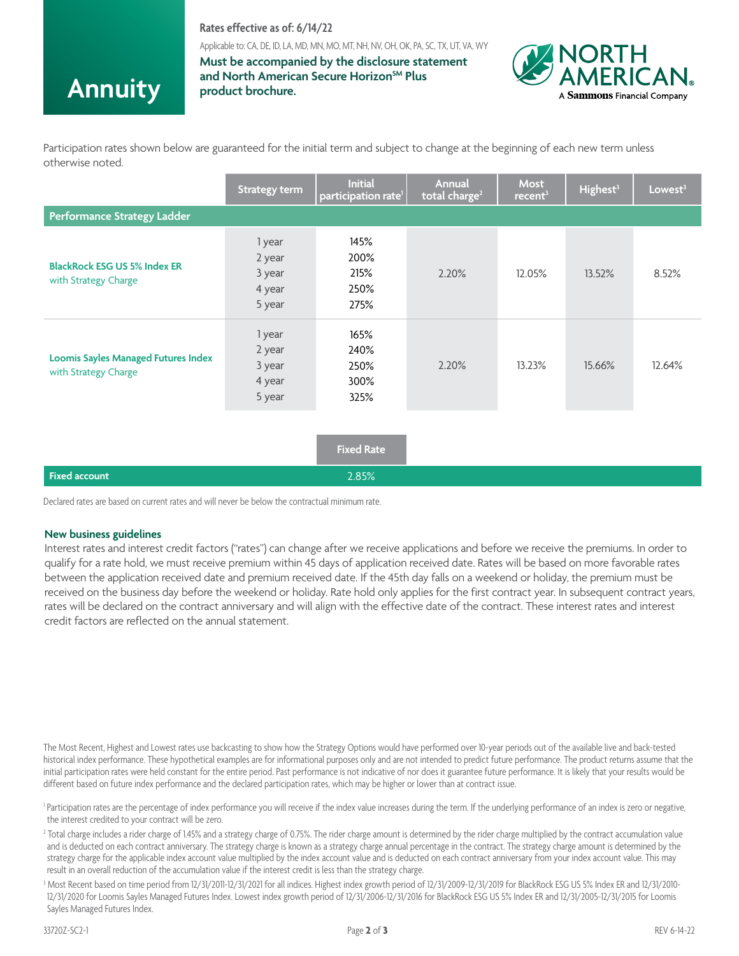## **Rates effective as of: 6/14/22**

Applicable to: CA, DE, ID, LA, MD, MN, MO, MT, NH, NV, OH, OK, PA, SC, TX, UT, VA, WY

**Annuity**

**Must be accompanied by the disclosure statement** and North American Secure Horizon<sup>SM</sup> Plus **product brochure.**



Participation rates shown below are guaranteed for the initial term and subject to change at the beginning of each new term unless otherwise noted.

|                                                                    | <b>Strategy term</b>                           | <b>Initial</b><br>participation rate <sup>1</sup> | Annual<br>total charge <sup>2</sup> | <b>Most</b><br>recent <sup>3</sup> | Highest <sup>3</sup> | Lowest <sup>3</sup> |
|--------------------------------------------------------------------|------------------------------------------------|---------------------------------------------------|-------------------------------------|------------------------------------|----------------------|---------------------|
| <b>Performance Strategy Ladder</b>                                 |                                                |                                                   |                                     |                                    |                      |                     |
| <b>BlackRock ESG US 5% Index ER</b><br>with Strategy Charge        | 1 year<br>2 year<br>3 year<br>4 year<br>5 year | 145%<br>200%<br>215%<br>250%<br>275%              | 2.20%                               | 12.05%                             | 13.52%               | 8.52%               |
| <b>Loomis Sayles Managed Futures Index</b><br>with Strategy Charge | 1 year<br>2 year<br>3 year<br>4 year<br>5 year | 165%<br>240%<br>250%<br>300%<br>325%              | 2.20%                               | 13.23%                             | 15.66%               | 12.64%              |
|                                                                    |                                                | <b>Fixed Rate</b>                                 |                                     |                                    |                      |                     |
| <b>Fixed account</b>                                               |                                                | 2.85%                                             |                                     |                                    |                      |                     |

Declared rates are based on current rates and will never be below the contractual minimum rate.

## **New business guidelines**

Interest rates and interest credit factors ("rates") can change after we receive applications and before we receive the premiums. In order to qualify for a rate hold, we must receive premium within 45 days of application received date. Rates will be based on more favorable rates between the application received date and premium received date. If the 45th day falls on a weekend or holiday, the premium must be received on the business day before the weekend or holiday. Rate hold only applies for the first contract year. In subsequent contract years, rates will be declared on the contract anniversary and will align with the effective date of the contract. These interest rates and interest credit factors are reflected on the annual statement.

The Most Recent, Highest and Lowest rates use backcasting to show how the Strategy Options would have performed over 10-year periods out of the available live and back-tested historical index performance. These hypothetical examples are for informational purposes only and are not intended to predict future performance. The product returns assume that the initial participation rates were held constant for the entire period. Past performance is not indicative of nor does it guarantee future performance. It is likely that your results would be different based on future index performance and the declared participation rates, which may be higher or lower than at contract issue.

- 1 Participation rates are the percentage of index performance you will receive if the index value increases during the term. If the underlying performance of an index is zero or negative, the interest credited to your contract will be zero.
- $^2$  Total charge includes a rider charge of 1.45% and a strategy charge of 0.75%. The rider charge amount is determined by the rider charge multiplied by the contract accumulation value and is deducted on each contract anniversary. The strategy charge is known as a strategy charge annual percentage in the contract. The strategy charge amount is determined by the strategy charge for the applicable index account value multiplied by the index account value and is deducted on each contract anniversary from your index account value. This may result in an overall reduction of the accumulation value if the interest credit is less than the strategy charge.
- 3 Most Recent based on time period from 12/31/2011-12/31/2021 for all indices. Highest index growth period of 12/31/2009-12/31/2019 for BlackRock ESG US 5% Index ER and 12/31/2010- 12/31/2020 for Loomis Sayles Managed Futures Index. Lowest index growth period of 12/31/2006-12/31/2016 for BlackRock ESG US 5% Index ER and 12/31/2005-12/31/2015 for Loomis Sayles Managed Futures Index.